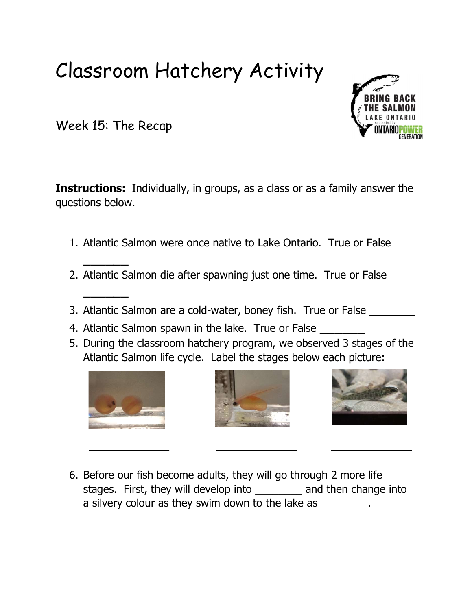## Classroom Hatchery Activity

Week 15: The Recap

 $\overline{\phantom{a}}$ 

 $\frac{1}{2}$ 

**Instructions:** Individually, in groups, as a class or as a family answer the questions below.

- 1. Atlantic Salmon were once native to Lake Ontario. True or False
- 2. Atlantic Salmon die after spawning just one time. True or False
- 3. Atlantic Salmon are a cold-water, boney fish. True or False
- 4. Atlantic Salmon spawn in the lake. True or False
- 5. During the classroom hatchery program, we observed 3 stages of the Atlantic Salmon life cycle. Label the stages below each picture:







6. Before our fish become adults, they will go through 2 more life stages. First, they will develop into \_\_\_\_\_\_\_\_ and then change into a silvery colour as they swim down to the lake as \_\_\_\_\_\_\_\_.